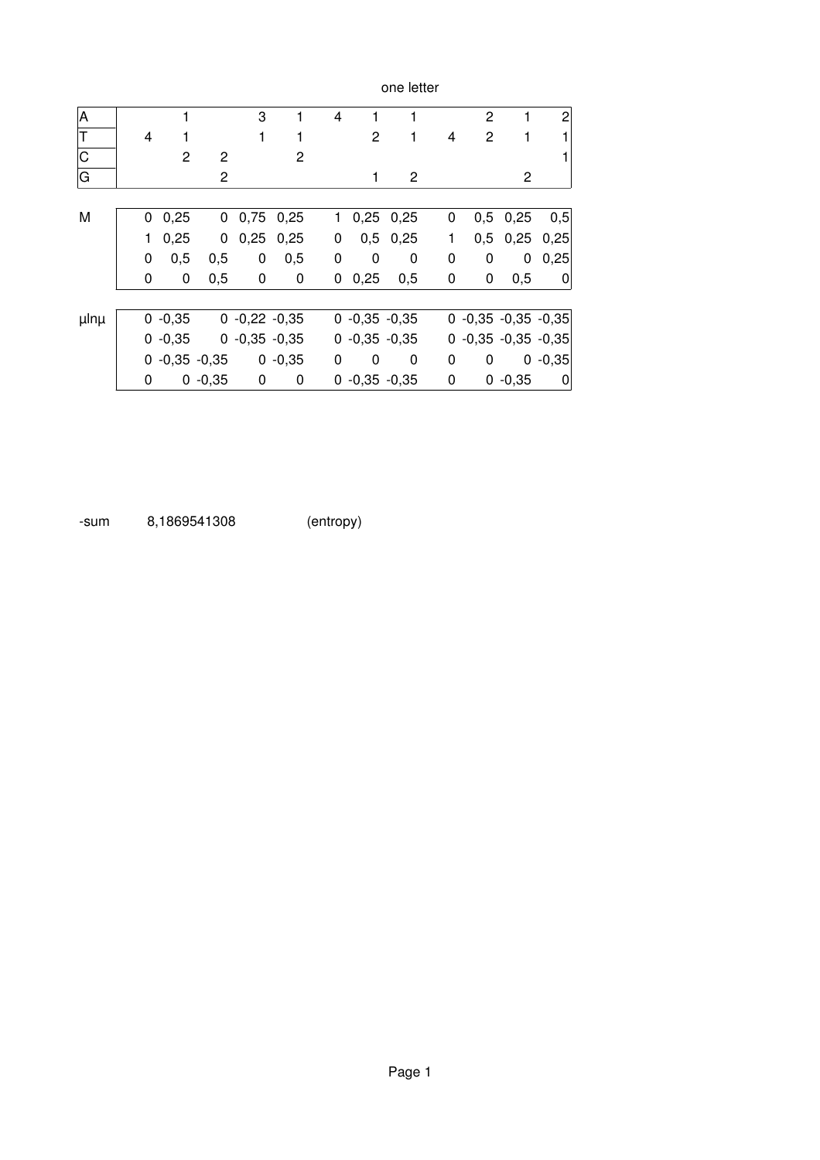|                         |    |                 |                |                 |           |                         |                 | one letter      |   |                       |            |                  |
|-------------------------|----|-----------------|----------------|-----------------|-----------|-------------------------|-----------------|-----------------|---|-----------------------|------------|------------------|
| A                       |    | 1               |                | 3               | 1         | $\overline{\mathbf{4}}$ | 1               | 1               |   | $\overline{c}$        | 1          | $\mathbf{2}$     |
| $\overline{\mathsf{T}}$ | 4  |                 |                | 1               | 1         |                         | 2               | 1               | 4 | 2                     | 1          |                  |
| $\overline{C}$          |    | 2               | 2              |                 | 2         |                         |                 |                 |   |                       |            |                  |
| G                       |    |                 | $\overline{2}$ |                 |           |                         | 1               | $\overline{2}$  |   |                       | 2          |                  |
|                         |    |                 |                |                 |           |                         |                 |                 |   |                       |            |                  |
| M                       | 0  | 0,25            | 0              | 0,75            | 0,25      | $\mathbf{1}$            |                 | $0,25$ 0,25     | 0 | 0,5                   | 0,25       | 0,5              |
|                         | 1. | 0,25            | 0              | 0,25            | 0,25      | $\pmb{0}$               |                 | $0,5$ 0,25      | 1 |                       | $0,5$ 0,25 | 0,25             |
|                         | 0  | 0,5             | 0,5            | 0               | 0,5       | 0                       | 0               | 0               | 0 | 0                     | 0          | 0,25             |
|                         | 0  | 0               | 0,5            | 0               | 0         | 0                       | 0,25            | 0,5             | 0 | 0                     | 0,5        | $\overline{0}$   |
|                         |    |                 |                |                 |           |                         |                 |                 |   |                       |            |                  |
| µlnµ                    |    | $0 -0,35$       |                | $0 -0,22 -0,35$ |           |                         |                 | $0 -0,35 -0,35$ |   | $0 -0,35 -0,35 -0,35$ |            |                  |
|                         |    | $0 -0,35$       |                | $0 -0,35 -0,35$ |           |                         |                 | $0 -0.35 -0.35$ |   | $0 -0,35 -0,35 -0,35$ |            |                  |
|                         |    | $0 -0,35 -0,35$ |                |                 | $0 -0,35$ | 0                       | 0               | 0               | 0 | 0                     |            | $0 -0,35$        |
|                         | 0  |                 | $0 -0,35$      | $\mathbf 0$     | 0         |                         | $0 -0,35 -0,35$ |                 | 0 |                       | $0 -0,35$  | $\boldsymbol{0}$ |

sum 8,1869541308 (entropy)